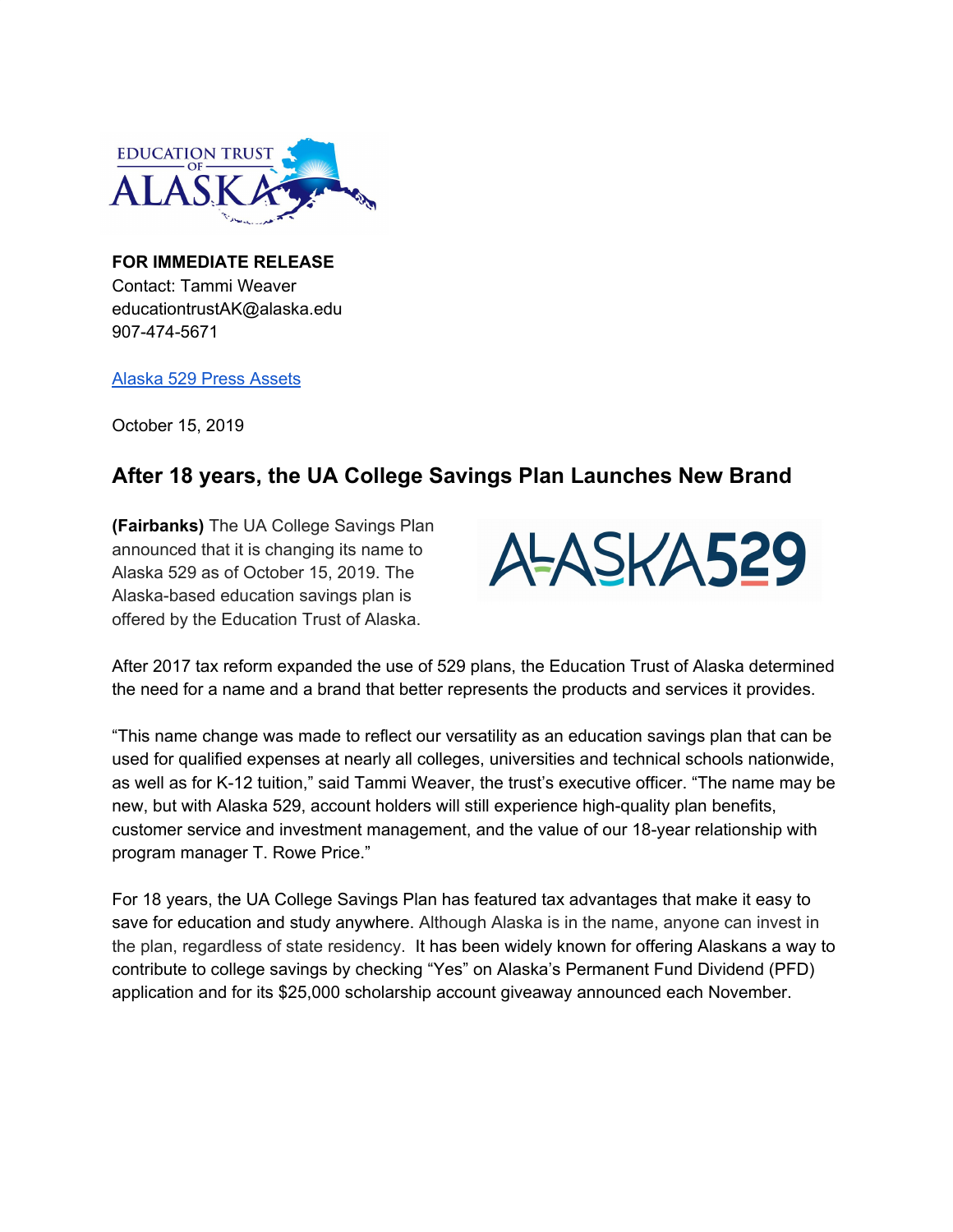

**FOR IMMEDIATE RELEASE** Contact: Tammi Weaver educationtrustAK@alaska.edu 907-474-5671

[Alaska](https://drive.google.com/open?id=1aP-Gy8SQ_A3jwrPaOctz7nGHYuOYkHne) 529 Press Assets

October 15, 2019

## **After 18 years, the UA College Savings Plan Launches New Brand**

**(Fairbanks)** The UA College Savings Plan announced that it is changing its name to Alaska 529 as of October 15, 2019. The Alaska-based education savings plan is offered by the Education Trust of Alaska.



After 2017 tax reform expanded the use of 529 plans, the Education Trust of Alaska determined the need for a name and a brand that better represents the products and services it provides.

"This name change was made to reflect our versatility as an education savings plan that can be used for qualified expenses at nearly all colleges, universities and technical schools nationwide, as well as for K-12 tuition," said Tammi Weaver, the trust's executive officer. "The name may be new, but with Alaska 529, account holders will still experience high-quality plan benefits, customer service and investment management, and the value of our 18-year relationship with program manager T. Rowe Price."

For 18 years, the UA College Savings Plan has featured tax advantages that make it easy to save for education and study anywhere. Although Alaska is in the name, anyone can invest in the plan, regardless of state residency. It has been widely known for offering Alaskans a way to contribute to college savings by checking "Yes" on Alaska's Permanent Fund Dividend (PFD) application and for its \$25,000 scholarship account giveaway announced each November.